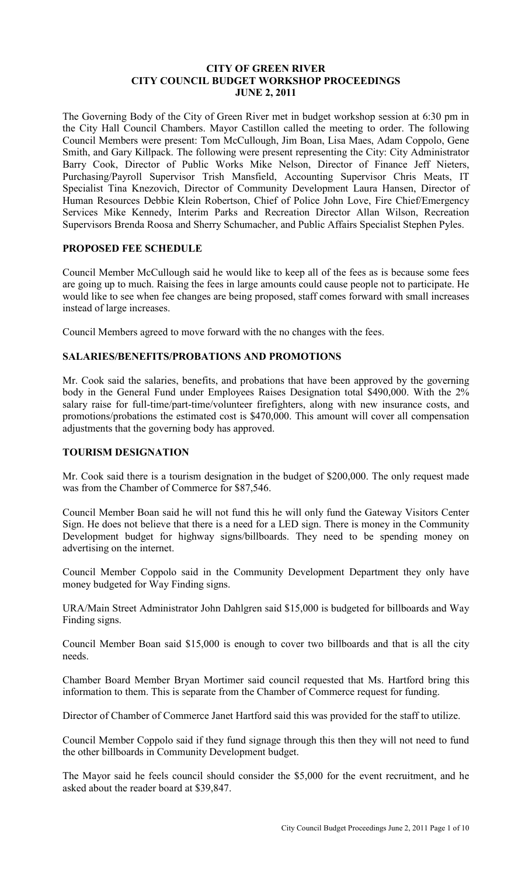## **CITY OF GREEN RIVER CITY COUNCIL BUDGET WORKSHOP PROCEEDINGS JUNE 2, 2011**

The Governing Body of the City of Green River met in budget workshop session at 6:30 pm in the City Hall Council Chambers. Mayor Castillon called the meeting to order. The following Council Members were present: Tom McCullough, Jim Boan, Lisa Maes, Adam Coppolo, Gene Smith, and Gary Killpack. The following were present representing the City: City Administrator Barry Cook, Director of Public Works Mike Nelson, Director of Finance Jeff Nieters, Purchasing/Payroll Supervisor Trish Mansfield, Accounting Supervisor Chris Meats, IT Specialist Tina Knezovich, Director of Community Development Laura Hansen, Director of Human Resources Debbie Klein Robertson, Chief of Police John Love, Fire Chief/Emergency Services Mike Kennedy, Interim Parks and Recreation Director Allan Wilson, Recreation Supervisors Brenda Roosa and Sherry Schumacher, and Public Affairs Specialist Stephen Pyles.

# **PROPOSED FEE SCHEDULE**

Council Member McCullough said he would like to keep all of the fees as is because some fees are going up to much. Raising the fees in large amounts could cause people not to participate. He would like to see when fee changes are being proposed, staff comes forward with small increases instead of large increases.

Council Members agreed to move forward with the no changes with the fees.

# **SALARIES/BENEFITS/PROBATIONS AND PROMOTIONS**

Mr. Cook said the salaries, benefits, and probations that have been approved by the governing body in the General Fund under Employees Raises Designation total \$490,000. With the 2% salary raise for full-time/part-time/volunteer firefighters, along with new insurance costs, and promotions/probations the estimated cost is \$470,000. This amount will cover all compensation adjustments that the governing body has approved.

## **TOURISM DESIGNATION**

Mr. Cook said there is a tourism designation in the budget of \$200,000. The only request made was from the Chamber of Commerce for \$87,546.

Council Member Boan said he will not fund this he will only fund the Gateway Visitors Center Sign. He does not believe that there is a need for a LED sign. There is money in the Community Development budget for highway signs/billboards. They need to be spending money on advertising on the internet.

Council Member Coppolo said in the Community Development Department they only have money budgeted for Way Finding signs.

URA/Main Street Administrator John Dahlgren said \$15,000 is budgeted for billboards and Way Finding signs.

Council Member Boan said \$15,000 is enough to cover two billboards and that is all the city needs.

Chamber Board Member Bryan Mortimer said council requested that Ms. Hartford bring this information to them. This is separate from the Chamber of Commerce request for funding.

Director of Chamber of Commerce Janet Hartford said this was provided for the staff to utilize.

Council Member Coppolo said if they fund signage through this then they will not need to fund the other billboards in Community Development budget.

The Mayor said he feels council should consider the \$5,000 for the event recruitment, and he asked about the reader board at \$39,847.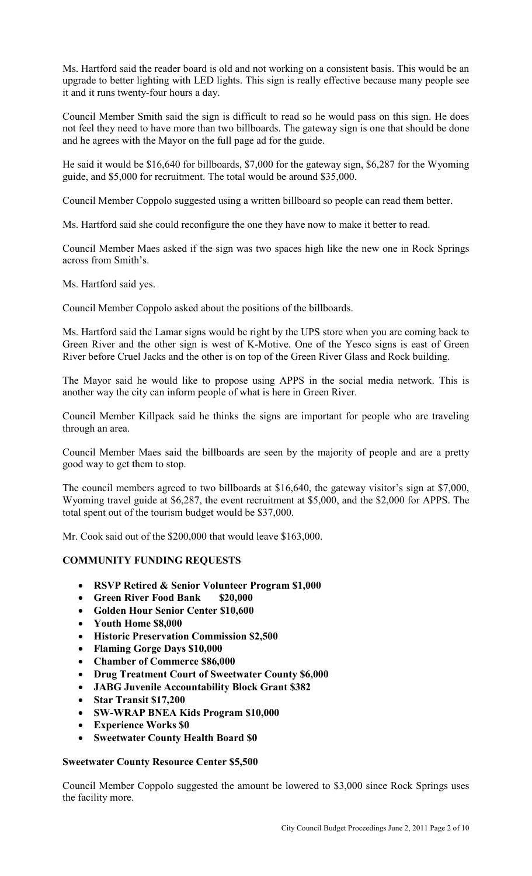Ms. Hartford said the reader board is old and not working on a consistent basis. This would be an upgrade to better lighting with LED lights. This sign is really effective because many people see it and it runs twenty-four hours a day.

Council Member Smith said the sign is difficult to read so he would pass on this sign. He does not feel they need to have more than two billboards. The gateway sign is one that should be done and he agrees with the Mayor on the full page ad for the guide.

He said it would be \$16,640 for billboards, \$7,000 for the gateway sign, \$6,287 for the Wyoming guide, and \$5,000 for recruitment. The total would be around \$35,000.

Council Member Coppolo suggested using a written billboard so people can read them better.

Ms. Hartford said she could reconfigure the one they have now to make it better to read.

Council Member Maes asked if the sign was two spaces high like the new one in Rock Springs across from Smith's.

Ms. Hartford said yes.

Council Member Coppolo asked about the positions of the billboards.

Ms. Hartford said the Lamar signs would be right by the UPS store when you are coming back to Green River and the other sign is west of K-Motive. One of the Yesco signs is east of Green River before Cruel Jacks and the other is on top of the Green River Glass and Rock building.

The Mayor said he would like to propose using APPS in the social media network. This is another way the city can inform people of what is here in Green River.

Council Member Killpack said he thinks the signs are important for people who are traveling through an area.

Council Member Maes said the billboards are seen by the majority of people and are a pretty good way to get them to stop.

The council members agreed to two billboards at \$16,640, the gateway visitor's sign at \$7,000, Wyoming travel guide at \$6,287, the event recruitment at \$5,000, and the \$2,000 for APPS. The total spent out of the tourism budget would be \$37,000.

Mr. Cook said out of the \$200,000 that would leave \$163,000.

# **COMMUNITY FUNDING REQUESTS**

- **RSVP Retired & Senior Volunteer Program \$1,000**
- **Green River Food Bank \$20,000**
- **Golden Hour Senior Center \$10,600**
- **Youth Home \$8,000**
- **Historic Preservation Commission \$2,500**
- **Flaming Gorge Days \$10,000**
- **Chamber of Commerce \$86,000**
- **Drug Treatment Court of Sweetwater County \$6,000**
- **JABG Juvenile Accountability Block Grant \$382**
- **Star Transit \$17,200**
- **SW-WRAP BNEA Kids Program \$10,000**
- **Experience Works \$0**
- **Sweetwater County Health Board \$0**

## **Sweetwater County Resource Center \$5,500**

Council Member Coppolo suggested the amount be lowered to \$3,000 since Rock Springs uses the facility more.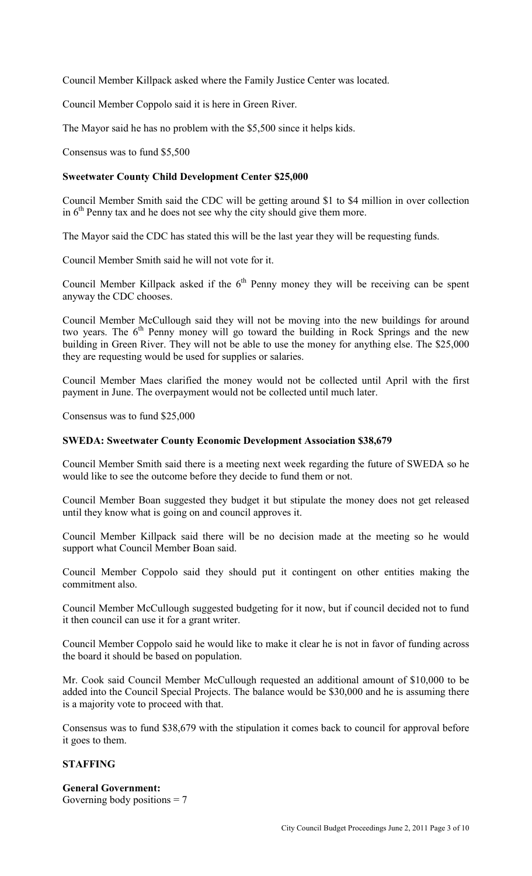Council Member Killpack asked where the Family Justice Center was located.

Council Member Coppolo said it is here in Green River.

The Mayor said he has no problem with the \$5,500 since it helps kids.

Consensus was to fund \$5,500

# **Sweetwater County Child Development Center \$25,000**

Council Member Smith said the CDC will be getting around \$1 to \$4 million in over collection in  $6<sup>th</sup>$  Penny tax and he does not see why the city should give them more.

The Mayor said the CDC has stated this will be the last year they will be requesting funds.

Council Member Smith said he will not vote for it.

Council Member Killpack asked if the  $6<sup>th</sup>$  Penny money they will be receiving can be spent anyway the CDC chooses.

Council Member McCullough said they will not be moving into the new buildings for around two years. The  $6<sup>th</sup>$  Penny money will go toward the building in Rock Springs and the new building in Green River. They will not be able to use the money for anything else. The \$25,000 they are requesting would be used for supplies or salaries.

Council Member Maes clarified the money would not be collected until April with the first payment in June. The overpayment would not be collected until much later.

Consensus was to fund \$25,000

#### **SWEDA: Sweetwater County Economic Development Association \$38,679**

Council Member Smith said there is a meeting next week regarding the future of SWEDA so he would like to see the outcome before they decide to fund them or not.

Council Member Boan suggested they budget it but stipulate the money does not get released until they know what is going on and council approves it.

Council Member Killpack said there will be no decision made at the meeting so he would support what Council Member Boan said.

Council Member Coppolo said they should put it contingent on other entities making the commitment also.

Council Member McCullough suggested budgeting for it now, but if council decided not to fund it then council can use it for a grant writer.

Council Member Coppolo said he would like to make it clear he is not in favor of funding across the board it should be based on population.

Mr. Cook said Council Member McCullough requested an additional amount of \$10,000 to be added into the Council Special Projects. The balance would be \$30,000 and he is assuming there is a majority vote to proceed with that.

Consensus was to fund \$38,679 with the stipulation it comes back to council for approval before it goes to them.

#### **STAFFING**

## **General Government:**  Governing body positions  $= 7$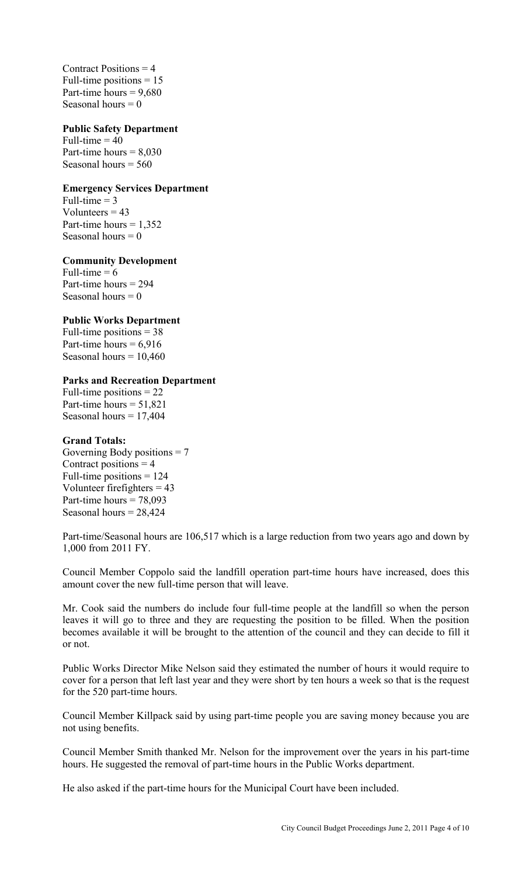Contract Positions  $= 4$ Full-time positions  $= 15$ Part-time hours  $= 9.680$ Seasonal hours  $= 0$ 

## **Public Safety Department**

Full-time  $= 40$ Part-time hours  $= 8.030$ Seasonal hours = 560

## **Emergency Services Department**

Full-time  $= 3$ Volunteers  $= 43$ Part-time hours  $= 1,352$ Seasonal hours  $= 0$ 

## **Community Development**

Full-time  $= 6$ Part-time hours = 294 Seasonal hours  $= 0$ 

## **Public Works Department**

Full-time positions = 38 Part-time hours  $= 6,916$ Seasonal hours  $= 10,460$ 

## **Parks and Recreation Department**

Full-time positions = 22 Part-time hours  $= 51,821$ Seasonal hours  $= 17,404$ 

#### **Grand Totals:**

Governing Body positions  $= 7$ Contract positions  $= 4$ Full-time positions  $= 124$ Volunteer firefighters = 43 Part-time hours  $= 78,093$ Seasonal hours  $= 28,424$ 

Part-time/Seasonal hours are 106,517 which is a large reduction from two years ago and down by 1,000 from 2011 FY.

Council Member Coppolo said the landfill operation part-time hours have increased, does this amount cover the new full-time person that will leave.

Mr. Cook said the numbers do include four full-time people at the landfill so when the person leaves it will go to three and they are requesting the position to be filled. When the position becomes available it will be brought to the attention of the council and they can decide to fill it or not.

Public Works Director Mike Nelson said they estimated the number of hours it would require to cover for a person that left last year and they were short by ten hours a week so that is the request for the 520 part-time hours.

Council Member Killpack said by using part-time people you are saving money because you are not using benefits.

Council Member Smith thanked Mr. Nelson for the improvement over the years in his part-time hours. He suggested the removal of part-time hours in the Public Works department.

He also asked if the part-time hours for the Municipal Court have been included.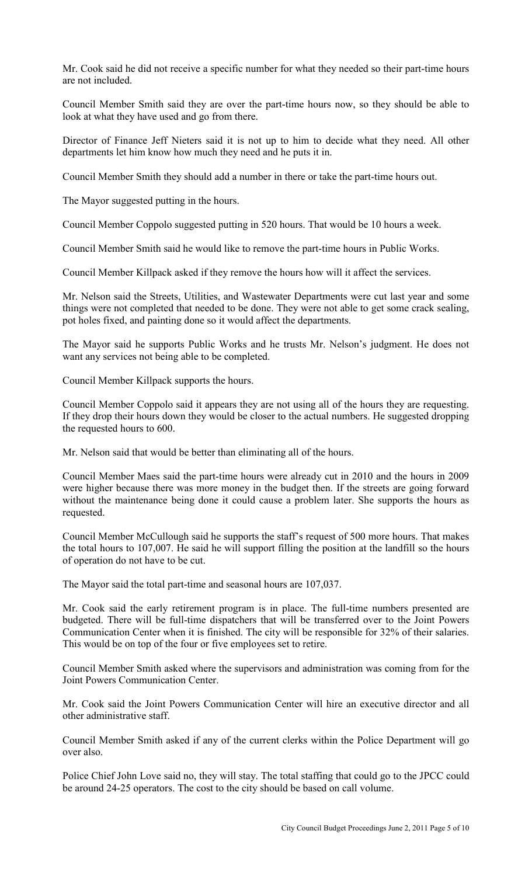Mr. Cook said he did not receive a specific number for what they needed so their part-time hours are not included.

Council Member Smith said they are over the part-time hours now, so they should be able to look at what they have used and go from there.

Director of Finance Jeff Nieters said it is not up to him to decide what they need. All other departments let him know how much they need and he puts it in.

Council Member Smith they should add a number in there or take the part-time hours out.

The Mayor suggested putting in the hours.

Council Member Coppolo suggested putting in 520 hours. That would be 10 hours a week.

Council Member Smith said he would like to remove the part-time hours in Public Works.

Council Member Killpack asked if they remove the hours how will it affect the services.

Mr. Nelson said the Streets, Utilities, and Wastewater Departments were cut last year and some things were not completed that needed to be done. They were not able to get some crack sealing, pot holes fixed, and painting done so it would affect the departments.

The Mayor said he supports Public Works and he trusts Mr. Nelson's judgment. He does not want any services not being able to be completed.

Council Member Killpack supports the hours.

Council Member Coppolo said it appears they are not using all of the hours they are requesting. If they drop their hours down they would be closer to the actual numbers. He suggested dropping the requested hours to 600.

Mr. Nelson said that would be better than eliminating all of the hours.

Council Member Maes said the part-time hours were already cut in 2010 and the hours in 2009 were higher because there was more money in the budget then. If the streets are going forward without the maintenance being done it could cause a problem later. She supports the hours as requested.

Council Member McCullough said he supports the staff's request of 500 more hours. That makes the total hours to 107,007. He said he will support filling the position at the landfill so the hours of operation do not have to be cut.

The Mayor said the total part-time and seasonal hours are 107,037.

Mr. Cook said the early retirement program is in place. The full-time numbers presented are budgeted. There will be full-time dispatchers that will be transferred over to the Joint Powers Communication Center when it is finished. The city will be responsible for 32% of their salaries. This would be on top of the four or five employees set to retire.

Council Member Smith asked where the supervisors and administration was coming from for the Joint Powers Communication Center.

Mr. Cook said the Joint Powers Communication Center will hire an executive director and all other administrative staff.

Council Member Smith asked if any of the current clerks within the Police Department will go over also.

Police Chief John Love said no, they will stay. The total staffing that could go to the JPCC could be around 24-25 operators. The cost to the city should be based on call volume.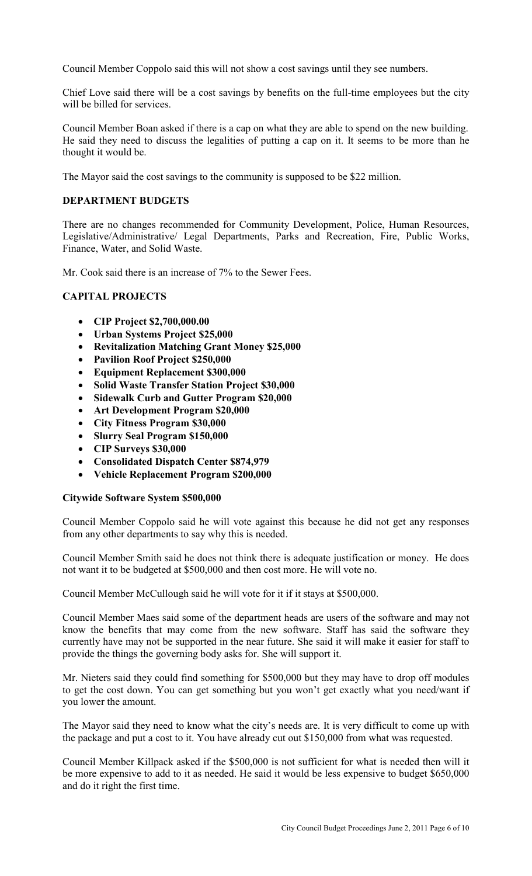Council Member Coppolo said this will not show a cost savings until they see numbers.

Chief Love said there will be a cost savings by benefits on the full-time employees but the city will be billed for services.

Council Member Boan asked if there is a cap on what they are able to spend on the new building. He said they need to discuss the legalities of putting a cap on it. It seems to be more than he thought it would be.

The Mayor said the cost savings to the community is supposed to be \$22 million.

## **DEPARTMENT BUDGETS**

There are no changes recommended for Community Development, Police, Human Resources, Legislative/Administrative/ Legal Departments, Parks and Recreation, Fire, Public Works, Finance, Water, and Solid Waste.

Mr. Cook said there is an increase of 7% to the Sewer Fees.

# **CAPITAL PROJECTS**

- **CIP Project \$2,700,000.00**
- **Urban Systems Project \$25,000**
- **Revitalization Matching Grant Money \$25,000**
- **Pavilion Roof Project \$250,000**
- **Equipment Replacement \$300,000**
- **Solid Waste Transfer Station Project \$30,000**
- **Sidewalk Curb and Gutter Program \$20,000**
- **Art Development Program \$20,000**
- **City Fitness Program \$30,000**
- **Slurry Seal Program \$150,000**
- **CIP Surveys \$30,000**
- **Consolidated Dispatch Center \$874,979**
- **Vehicle Replacement Program \$200,000**

## **Citywide Software System \$500,000**

Council Member Coppolo said he will vote against this because he did not get any responses from any other departments to say why this is needed.

Council Member Smith said he does not think there is adequate justification or money. He does not want it to be budgeted at \$500,000 and then cost more. He will vote no.

Council Member McCullough said he will vote for it if it stays at \$500,000.

Council Member Maes said some of the department heads are users of the software and may not know the benefits that may come from the new software. Staff has said the software they currently have may not be supported in the near future. She said it will make it easier for staff to provide the things the governing body asks for. She will support it.

Mr. Nieters said they could find something for \$500,000 but they may have to drop off modules to get the cost down. You can get something but you won't get exactly what you need/want if you lower the amount.

The Mayor said they need to know what the city's needs are. It is very difficult to come up with the package and put a cost to it. You have already cut out \$150,000 from what was requested.

Council Member Killpack asked if the \$500,000 is not sufficient for what is needed then will it be more expensive to add to it as needed. He said it would be less expensive to budget \$650,000 and do it right the first time.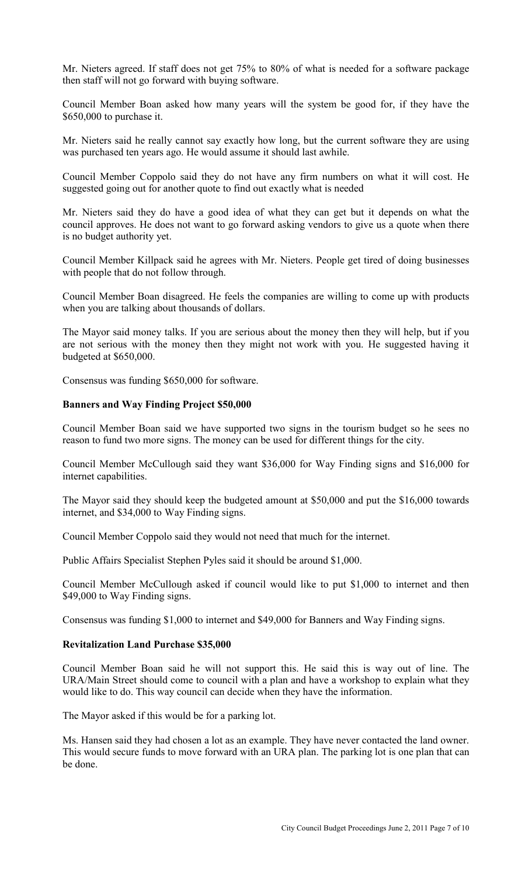Mr. Nieters agreed. If staff does not get 75% to 80% of what is needed for a software package then staff will not go forward with buying software.

Council Member Boan asked how many years will the system be good for, if they have the \$650,000 to purchase it.

Mr. Nieters said he really cannot say exactly how long, but the current software they are using was purchased ten years ago. He would assume it should last awhile.

Council Member Coppolo said they do not have any firm numbers on what it will cost. He suggested going out for another quote to find out exactly what is needed

Mr. Nieters said they do have a good idea of what they can get but it depends on what the council approves. He does not want to go forward asking vendors to give us a quote when there is no budget authority yet.

Council Member Killpack said he agrees with Mr. Nieters. People get tired of doing businesses with people that do not follow through.

Council Member Boan disagreed. He feels the companies are willing to come up with products when you are talking about thousands of dollars.

The Mayor said money talks. If you are serious about the money then they will help, but if you are not serious with the money then they might not work with you. He suggested having it budgeted at \$650,000.

Consensus was funding \$650,000 for software.

#### **Banners and Way Finding Project \$50,000**

Council Member Boan said we have supported two signs in the tourism budget so he sees no reason to fund two more signs. The money can be used for different things for the city.

Council Member McCullough said they want \$36,000 for Way Finding signs and \$16,000 for internet capabilities.

The Mayor said they should keep the budgeted amount at \$50,000 and put the \$16,000 towards internet, and \$34,000 to Way Finding signs.

Council Member Coppolo said they would not need that much for the internet.

Public Affairs Specialist Stephen Pyles said it should be around \$1,000.

Council Member McCullough asked if council would like to put \$1,000 to internet and then \$49,000 to Way Finding signs.

Consensus was funding \$1,000 to internet and \$49,000 for Banners and Way Finding signs.

#### **Revitalization Land Purchase \$35,000**

Council Member Boan said he will not support this. He said this is way out of line. The URA/Main Street should come to council with a plan and have a workshop to explain what they would like to do. This way council can decide when they have the information.

The Mayor asked if this would be for a parking lot.

Ms. Hansen said they had chosen a lot as an example. They have never contacted the land owner. This would secure funds to move forward with an URA plan. The parking lot is one plan that can be done.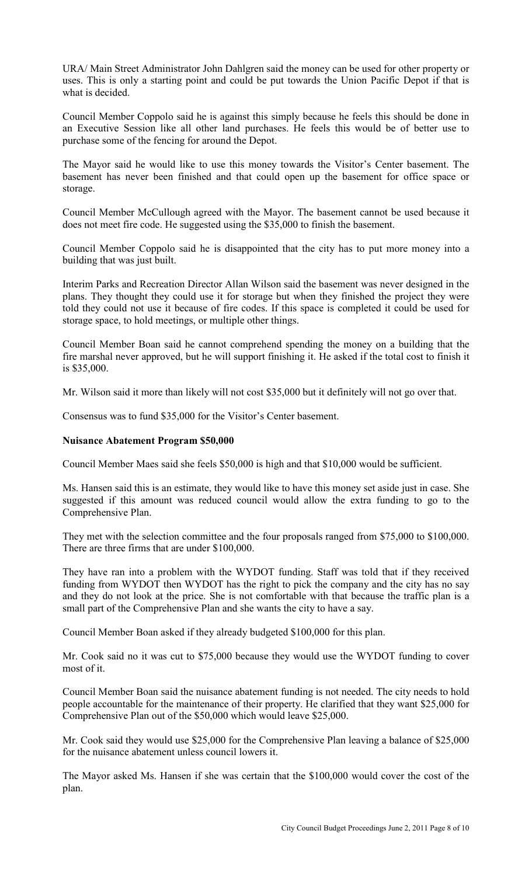URA/ Main Street Administrator John Dahlgren said the money can be used for other property or uses. This is only a starting point and could be put towards the Union Pacific Depot if that is what is decided.

Council Member Coppolo said he is against this simply because he feels this should be done in an Executive Session like all other land purchases. He feels this would be of better use to purchase some of the fencing for around the Depot.

The Mayor said he would like to use this money towards the Visitor's Center basement. The basement has never been finished and that could open up the basement for office space or storage.

Council Member McCullough agreed with the Mayor. The basement cannot be used because it does not meet fire code. He suggested using the \$35,000 to finish the basement.

Council Member Coppolo said he is disappointed that the city has to put more money into a building that was just built.

Interim Parks and Recreation Director Allan Wilson said the basement was never designed in the plans. They thought they could use it for storage but when they finished the project they were told they could not use it because of fire codes. If this space is completed it could be used for storage space, to hold meetings, or multiple other things.

Council Member Boan said he cannot comprehend spending the money on a building that the fire marshal never approved, but he will support finishing it. He asked if the total cost to finish it is \$35,000.

Mr. Wilson said it more than likely will not cost \$35,000 but it definitely will not go over that.

Consensus was to fund \$35,000 for the Visitor's Center basement.

#### **Nuisance Abatement Program \$50,000**

Council Member Maes said she feels \$50,000 is high and that \$10,000 would be sufficient.

Ms. Hansen said this is an estimate, they would like to have this money set aside just in case. She suggested if this amount was reduced council would allow the extra funding to go to the Comprehensive Plan.

They met with the selection committee and the four proposals ranged from \$75,000 to \$100,000. There are three firms that are under \$100,000.

They have ran into a problem with the WYDOT funding. Staff was told that if they received funding from WYDOT then WYDOT has the right to pick the company and the city has no say and they do not look at the price. She is not comfortable with that because the traffic plan is a small part of the Comprehensive Plan and she wants the city to have a say.

Council Member Boan asked if they already budgeted \$100,000 for this plan.

Mr. Cook said no it was cut to \$75,000 because they would use the WYDOT funding to cover most of it.

Council Member Boan said the nuisance abatement funding is not needed. The city needs to hold people accountable for the maintenance of their property. He clarified that they want \$25,000 for Comprehensive Plan out of the \$50,000 which would leave \$25,000.

Mr. Cook said they would use \$25,000 for the Comprehensive Plan leaving a balance of \$25,000 for the nuisance abatement unless council lowers it.

The Mayor asked Ms. Hansen if she was certain that the \$100,000 would cover the cost of the plan.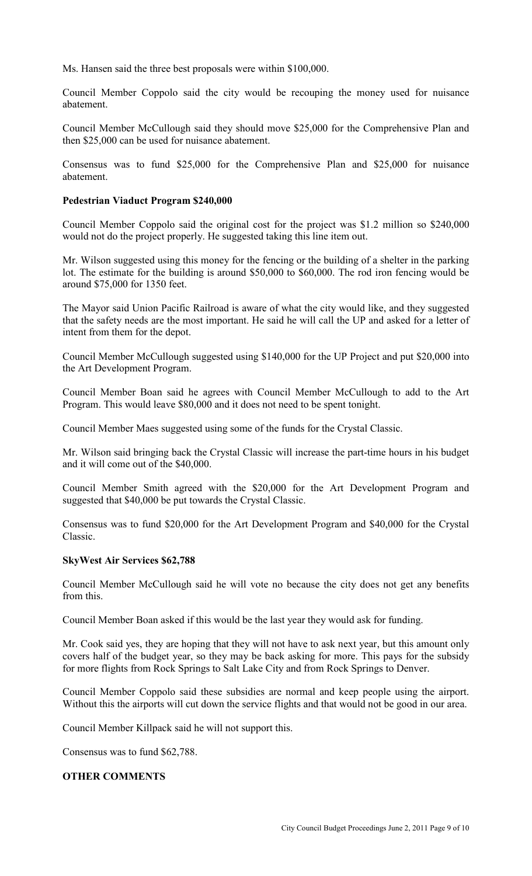Ms. Hansen said the three best proposals were within \$100,000.

Council Member Coppolo said the city would be recouping the money used for nuisance abatement.

Council Member McCullough said they should move \$25,000 for the Comprehensive Plan and then \$25,000 can be used for nuisance abatement.

Consensus was to fund \$25,000 for the Comprehensive Plan and \$25,000 for nuisance abatement.

#### **Pedestrian Viaduct Program \$240,000**

Council Member Coppolo said the original cost for the project was \$1.2 million so \$240,000 would not do the project properly. He suggested taking this line item out.

Mr. Wilson suggested using this money for the fencing or the building of a shelter in the parking lot. The estimate for the building is around \$50,000 to \$60,000. The rod iron fencing would be around \$75,000 for 1350 feet.

The Mayor said Union Pacific Railroad is aware of what the city would like, and they suggested that the safety needs are the most important. He said he will call the UP and asked for a letter of intent from them for the depot.

Council Member McCullough suggested using \$140,000 for the UP Project and put \$20,000 into the Art Development Program.

Council Member Boan said he agrees with Council Member McCullough to add to the Art Program. This would leave \$80,000 and it does not need to be spent tonight.

Council Member Maes suggested using some of the funds for the Crystal Classic.

Mr. Wilson said bringing back the Crystal Classic will increase the part-time hours in his budget and it will come out of the \$40,000.

Council Member Smith agreed with the \$20,000 for the Art Development Program and suggested that \$40,000 be put towards the Crystal Classic.

Consensus was to fund \$20,000 for the Art Development Program and \$40,000 for the Crystal Classic.

#### **SkyWest Air Services \$62,788**

Council Member McCullough said he will vote no because the city does not get any benefits from this.

Council Member Boan asked if this would be the last year they would ask for funding.

Mr. Cook said yes, they are hoping that they will not have to ask next year, but this amount only covers half of the budget year, so they may be back asking for more. This pays for the subsidy for more flights from Rock Springs to Salt Lake City and from Rock Springs to Denver.

Council Member Coppolo said these subsidies are normal and keep people using the airport. Without this the airports will cut down the service flights and that would not be good in our area.

Council Member Killpack said he will not support this.

Consensus was to fund \$62,788.

## **OTHER COMMENTS**